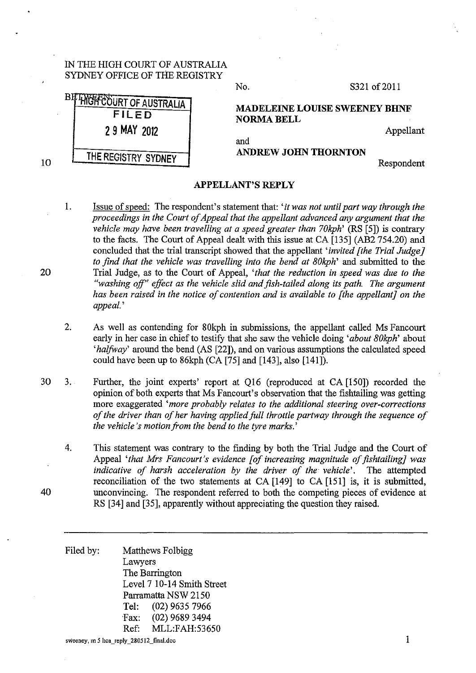## IN THE HIGH COURT OF AUSTRALIA SYDNEY OFFICE OF THE REGISTRY

| <sup>14</sup> HYGH COURT OF AUSTRALIA<br>FILED<br>2 9 MAY 2012 | <b>MADELEINE LOUISE SWEENEY BHNF</b><br><b>NORMA BELL</b> | Appellant |
|----------------------------------------------------------------|-----------------------------------------------------------|-----------|
| THE REGISTRY SYDNEY                                            | and<br><b>ANDREW JOHN THORNTON</b>                        | n         |

No. S321 of 2011

Respondent

## **APPELLANT'S REPLY**

- 1. Issue of speed: The respondent's statement that: *'it was not until part way through the proceedings in the Court of Appeal that the appellant advanced any argument that the vehicle may have been travelling at a speed greater than 70kph'* (RS [5]) is contrary to the facts. The Court of Appeal dealt with this issue at CA [135] (AB2 754.20) and concluded that the trial transcript showed that the appellant *'invited [the Trial Judge} to find that the vehicle was travelling into the bend at 80kph'* and submitted to the Trial Judge, as to the Court of Appeal, *'that the reduction in speed was due to the "washing off" effect as the vehicle slid and fish-tailed along its path. The argument has been raised in the notice of contention and is available to [the appellant] on the appeal.'*
- 2. As well as contending for 80kph in submissions, the appellant called Ms Fancourt early in her case in chief to testify that she saw the vehicle doing *'about 80kph'* about *'halfway'* around the bend (AS [22]), and on various assumptions the calculated speed could have been up to 86kph (CA [75] and [143], also [141]).
- 30 3. Further, the joint experts' report at Q16 (reproduced at CA [150]) recorded the opinion of both experts that Ms Fancourt's observation that the fishtailing was getting more exaggerated *'more probably relates to the additional steering over-corrections of the driver than of her having applied full throttle partway through the sequence of the vehicle's motion from the bend to the tyre marks.'* 
	- 4. This statement was contrary to the finding by both the Trial Judge and the Court of Appeal *'that Mrs Fancourt's evidence [of increasing magnitude of fishtailing] was indicative of harsh acceleration by the driver of the vehicle'.* The attempted reconciliation of the two statements at CA [149] to CA [151] is, it is submitted, unconvincing. The respondent referred to both the competing pieces of evidence at RS [34] and [35], apparently without appreciating the question they raised.

Filed by: Matthews Folbigg Lawyers The Barrington Level 7 10-14 Smith Street Parramatta NSW 2150 Tel: (02) 9635 7966 Fax: (02) 9689 3494 Ref: MLL:FAH:53650

**sweeney, m** *5* **hca\_reply\_280512\_final.doc** 1

20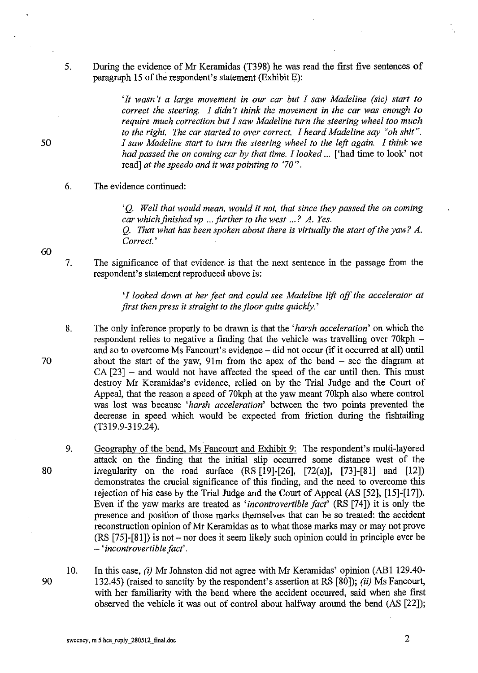5. During the evidence of Mr Keramidas (T398) he was read the first five sentences of paragraph 15 of the respondent's statement (Exhibit E):

> *'It wasn't a large movement in our car but I saw Madeline (sic) start to correct the steering. I didn't think the movement in the car was enough to require much correction but I saw Madeline turn the steering wheel too much to the right. The car started to over correct. I heard Madeline say "oh shit". I saw Madeline start to turn the steering wheel to the left again. I think we had passed the on coming car by that time. I looked ...* ['had time to look' not read] *at the speedo and it was pointing to '70* ".

## 6. The evidence continued:

*'Q. Well that would mean, would* it *not, that since they passed the on coming car which finished up* ... *further to the west* ... *? A. Yes.* 

Q. *That what has been spoken about there is virtually the start of the yaw? A. Correct.'* 

7. The significance of that evidence is that the next sentence in the passage from the respondent's statement reproduced above is:

> *'I looked down at her feet and could see Madeline lift off the accelerator at first then press it straight to the floor quite quickly.'*

- 8. The only inference properly to be drawn is that the *'harsh acceleration'* on which the respondent relies to negative a finding that the vehicle was travelling over 70kph and so to overcome Ms Fancourt's evidence- did not occur (if it occurred at all) until about the start of the yaw,  $91m$  from the apex of the bend  $-$  see the diagram at  $CA [23]$  – and would not have affected the speed of the car until then. This must destroy Mr Keramidas's evidence, relied on by the Trial Judge and the Court of Appeal, that the reason a speed of 70kph at the yaw meant 70kph also where control was lost was because *'harsh acceleration'* between the two points prevented the decrease in speed which would be expected from friction during the fishtailing (T319.9-319.24).
- 9. Geography of the bend, Ms Fancourt and Exhibit 9: The respondent's multi-layered attack on the finding that the initial slip occurred some distance west of the irregularity on the road surface  $(RS [19]-[26], [72(a)], [73]-[81]$  and  $[12])$ demonstrates the crucial significance of this finding, and the need to overcome this rejection of his case by the Trial Judge and the Court of Appeal  $(AS [52], [15]-[17])$ . Even if the yaw marks are treated as *'incontrovertible fact'* (RS [74]) it is only the presence and position of those marks themselves that can be so treated: the accident reconstruction opinion of Mr Keramidas as to what those marks may or may not prove (RS [75]-[81]) is not- nor does it seem likely such opinion could in principle ever be - *'incontrovertible fact'.*
- 10. In this case, (i) Mr Johnston did not agree with Mr Keramidas' opinion (AB1 129.40-132.45) (raised to sanctity by the respondent's assertion at RS [80]); (ii) Ms Fancourt, with her familiarity with the bend where the accident occurred, said when she first observed the vehicle it was out of control about halfway around the bend (AS [22]);

**sweeney, m 5 hca\_reply\_280512\_final.doc** 2

60

50

70

80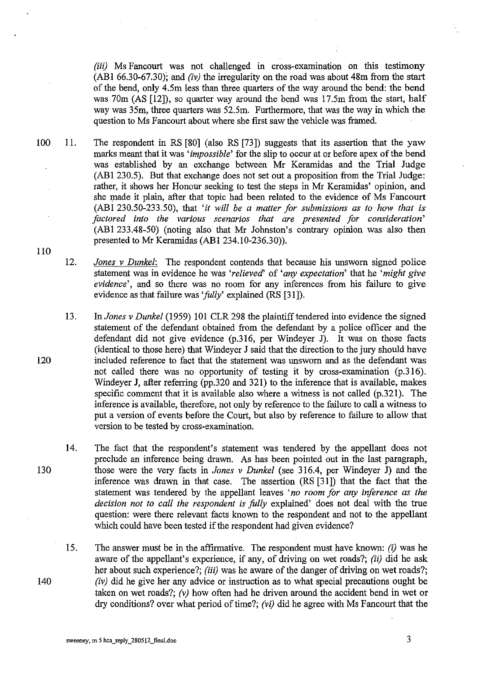*(iii)* Ms Fancourt was not challenged in cross-examination on this testimony (AB1 66.30-67.30); and *(iv)* the irregularity on the road was about 48m from the start of the bend, only 4.5m less than three quarters of the way around the bend: the bend was 70m (AS [12]), so quarter way around the bend was 17.5m from the start, half way was 35m, three quarters was 52.5m. Furthermore, that was the way in which the question to Ms Fancourt about where she first saw the vehicle was framed.

100 11. The respondent in RS [80] (also RS [73]) suggests that its assertion that the yaw marks meant that it was *'impossible'* for the slip to occur at or before apex of the bend was established by an exchange between Mr Keramidas and the Trial Judge (AB1 230.5). But that exchange does not set out a proposition from the Trial Judge: rather, it shows her Honour seeking to test the steps in Mr Keramidas' opinion, and she made it plain, after that topic had been related to the evidence of Ms Fancourt (AB1 230.50-233.50), that *'it will be a matter for submissions as to how that is factored into the various scenarios that are presented for consideration'*  (ABl 233.48-50) (noting also that Mr Johnston's contrary opinion was also then presented to Mr Keramidas (AB1 234.10-236.30)).

12. *Jones v Dunkel:* The respondent contends that because his unsworn signed police statement was in evidence he was *'relieved'* of *'any expectation'* that he *'might give evidence',* and so there was no room for any inferences from his failure to give evidence as that failure was *'fully'* explained (RS [31]).

- 13. In *Jones v Dunkel* (1959) 101 CLR 298 the plaintiff tendered into evidence the signed statement of the defendant obtained from the defendant by a police officer and the defendant did not give evidence (p.316, per Windeyer J). It was on those facts (identical to those here) that Windeyer J said that the direction to the jury should have included reference to fact that the statement was unsworn and as the defendant was not called there was no opportunity of testing it by cross-examination (p.316). Windeyer J, after referring (pp.320 and 321) to the inference that is available, makes specific comment that it is available also where a witness is not called (p.321). The inference is available, therefore, not only by reference to the failure to call a witness to put a version of events before the Court, but also by reference to failure to allow that version to be tested by cross-examination.
- 14. The fact that the respondent's statement was tendered by the appellant does not preclude an inference being drawn. As has been pointed out in the last paragraph, those were the very facts in *Jones v Dunkel* (see 316.4, per Windeyer J) and the inference was drawn in that case. The assertion (RS [31]) that the fact that the statement was tendered by the appellant leaves *'no room for any inference as the decision not to call the respondent is folly* explained' does not deal with the true question: were there relevant facts known to the respondent and not to the appellant which could have been tested if the respondent had given evidence?
- 15. The answer must be in the affirmative. The respondent must have known: *(i)* was he aware of the appellant's experience, if any, of driving on wet roads?; *(ii)* did he ask her about such experience?; *(iii)* was he aware of the danger of driving on wet roads?; *(iv)* did he give her any advice or instruction as to what special precautions ought be taken on wet roads?; *(v)* how often had he driven around the accident bend in wet or dry conditions? over what period of time?; *(vi)* did he agree with Ms Fancourt that the

110

120

130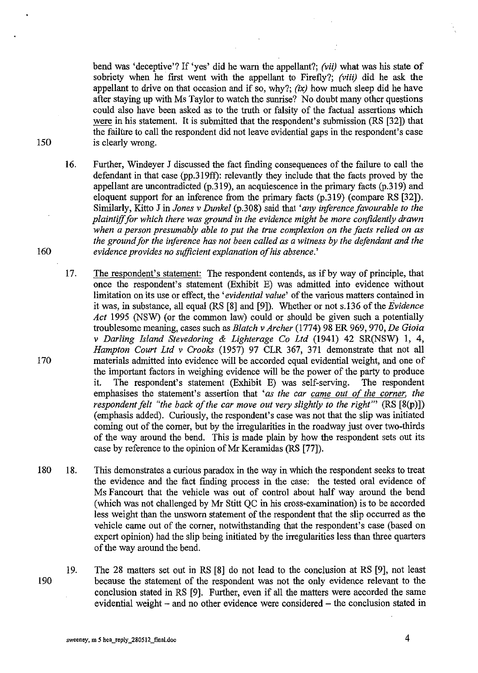bend was 'deceptive'? If 'yes' did he warn the appellant?; *(vii)* what was his state of sobriety when he first went with the appellant to Firefly?; *(viii)* did he ask the appellant to drive on that occasion and if so, why?; *(ix)* how much sleep did he have after staying up with Ms Taylor to watch the sunrise? No doubt many other questions could also have been asked as to the truth or falsity of the factual assertions which were in his statement. It is submitted that the respondent's submission (RS [32]) that the failure to call the respondent did not leave evidential gaps in the respondent's case 150 is clearly wrong.

- 16. Further, Windeyer J discussed the fact finding consequences of the failure to call the defendant in that case (pp.319ff): relevantly they include that the facts proved by the appellant are uncontradicted (p.319), an acquiescence in the primary facts (p.319) and eloquent support for an inference from the primary facts (p.319) (compare RS [32]). Similarly, Kitto J in *Jones v Dunkel* (p.308) said that *'any inference favourable to the plaintiff for which there was ground* in *the evidence might be more confidently drawn when a person presumably able to put the true complexion on the facts relied on as the ground for the inference has not been called as a witness by the defondant and the*  160 *evidence provides no sufficient explanation of his absence.'*
- 17. The respondent's statement: The respondent contends, as if by way of principle, that once the respondent's statement (Exhibit E) was admitted into evidence without limitation on its use or effect, the *'evidential value'* of the various matters contained in it was, in substance, all equal (RS [8] and [9]). Whether or not s.136 of the *Evidence Act* 1995 (NSW) (or the common law) could or should be given such a potentially troublesome meaning, cases such as *Blatch v Archer* (1774) 98 ER 969, 970, *De* Gioia *v Darling Island Stevedoring* & *Lighterage Co Ltd* (1941) 42 SR(NSW) 1, 4, *Hampton Court Ltd v Crooks* (1957) 97 CLR 367, 371 demonstrate that not all 170 materials admitted into evidence will be accorded equal evidential weight, and one of the important factors in weighing evidence will be the power of the party to produce it. The respondent's statement (Exhibit E) was self-serving. The respondent emphasises the statement's assertion that *'as the car came out of the corner, the respondent felt "the back of the car move out very slightly to the right"'* (RS [8(p)]) (emphasis added). Curiously, the respondent's case was not that the slip was initiated coming out of the corner, but by the irregularities in the roadway just over two-thirds of the way around the bend. This is made plain by how the respondent sets out its case by reference to the opinion of Mr Keramidas (RS [77]).
- 180 18. This demonstrates a curious paradox in the way in which the respondent seeks to treat the evidence and the fact fmding process in the case: the tested oral evidence of Ms Fancourt that the vehicle was out of control about half way around the bend (which was not challenged by Mr Stitt QC in his cross-examination) is to be accorded less weight than the unsworn statement of the respondent that the slip occurred as the vehicle came out of the corner, notwithstanding that the respondent's case (based on expert opinion) had the slip being initiated by the irregularities less than three quarters of the way around the bend.
- 19. The 28 matters set out in RS [8] do not lead to the conclusion at RS [9], not least 190 because the statement of the respondent was not the only evidence relevant to the conclusion stated in RS [9]. Further, even if all the matters were accorded the same evidential weight - and no other evidence were considered - the conclusion stated in